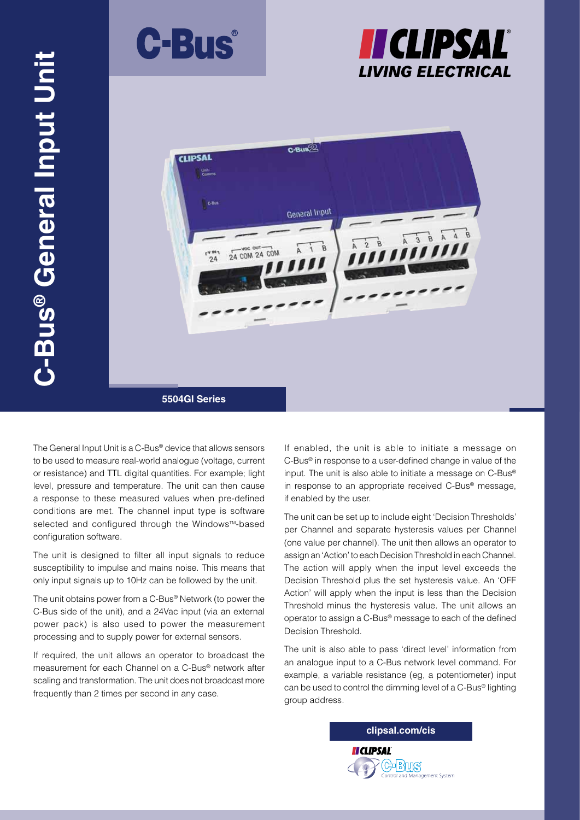





The General Input Unit is a C-Bus® device that allows sensors to be used to measure real-world analogue (voltage, current or resistance) and TTL digital quantities. For example; light level, pressure and temperature. The unit can then cause a response to these measured values when pre-defined conditions are met. The channel input type is software selected and configured through the Windows™-based configuration software.

The unit is designed to filter all input signals to reduce susceptibility to impulse and mains noise. This means that only input signals up to 10Hz can be followed by the unit.

The unit obtains power from a C-Bus® Network (to power the C-Bus side of the unit), and a 24Vac input (via an external power pack) is also used to power the measurement processing and to supply power for external sensors.

If required, the unit allows an operator to broadcast the measurement for each Channel on a C-Bus® network after scaling and transformation. The unit does not broadcast more frequently than 2 times per second in any case.

If enabled, the unit is able to initiate a message on C-Bus® in response to a user-defined change in value of the input. The unit is also able to initiate a message on C-Bus® in response to an appropriate received C-Bus® message, if enabled by the user.

The unit can be set up to include eight 'Decision Thresholds' per Channel and separate hysteresis values per Channel (one value per channel). The unit then allows an operator to assign an 'Action' to each Decision Threshold in each Channel. The action will apply when the input level exceeds the Decision Threshold plus the set hysteresis value. An 'OFF Action' will apply when the input is less than the Decision Threshold minus the hysteresis value. The unit allows an operator to assign a C-Bus® message to each of the defined Decision Threshold.

The unit is also able to pass 'direct level' information from an analogue input to a C-Bus network level command. For example, a variable resistance (eg, a potentiometer) input can be used to control the dimming level of a C-Bus® lighting group address.